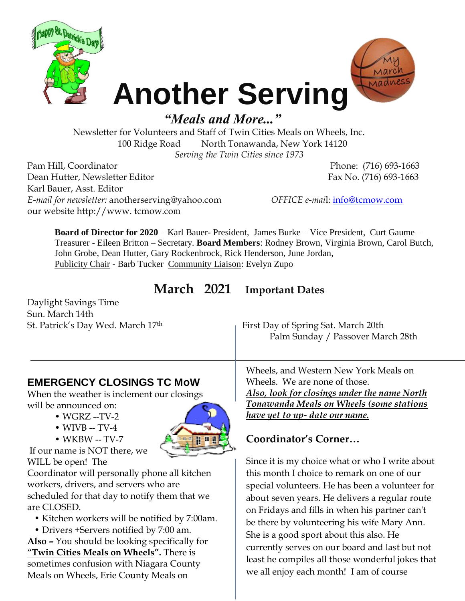



# **Another Serving**

*"Meals and More..."*

Newsletter for Volunteers and Staff of Twin Cities Meals on Wheels, Inc. 100 Ridge Road North Tonawanda, New York 14120 *Serving the Twin Cities since 1973* 

Pam Hill, Coordinator Phone: (716) 693-1663 Dean Hutter, Newsletter Editor Fax No. (716) 693-1663 Karl Bauer, Asst. Editor *E-mail for newsletter:* anotherserving@yahoo.com *OFFICE e-mai*l: [info@tcmow.com](mailto:info@tcmow.com) our website http://www. tcmow.com

**Board of Director for 2020** – Karl Bauer- President, James Burke – Vice President, Curt Gaume – Treasurer - Eileen Britton – Secretary. **Board Members**: Rodney Brown, Virginia Brown, Carol Butch, John Grobe, Dean Hutter, Gary Rockenbrock, Rick Henderson, June Jordan, Publicity Chair - Barb Tucker Community Liaison: Evelyn Zupo

# **March 2021 Important Dates**

| <b>March 2021</b>                                                                                                                                                                                                            | <b>Important Dates</b>                                                                                                                                                                                                                                                              |
|------------------------------------------------------------------------------------------------------------------------------------------------------------------------------------------------------------------------------|-------------------------------------------------------------------------------------------------------------------------------------------------------------------------------------------------------------------------------------------------------------------------------------|
| Daylight Savings Time<br>Sun. March 14th<br>St. Patrick's Day Wed. March 17th                                                                                                                                                | First Day of Spring Sat. March 20th<br>Palm Sunday / Passover March 28th                                                                                                                                                                                                            |
| <b>EMERGENCY CLOSINGS TC MoW</b><br>When the weather is inclement our closings<br>will be announced on:<br>$\bullet$ WGRZ --TV-2<br>$\bullet$ WIVB -- TV-4<br>$\bullet$ WKBW -- TV-7<br>шı<br>If our name is NOT there, we   | Wheels, and Western New York Meals on<br>Wheels. We are none of those.<br><u>Also, look for closings under the name Nor</u><br>Tonawanda Meals on Wheels (some statio<br><u>have yet to up- date our name.</u><br>Coordinator's Corner                                              |
| WILL be open! The<br>Coordinator will personally phone all kitchen<br>workers, drivers, and servers who are<br>scheduled for that day to notify them that we<br>are CLOSED.<br>• Kitchen workers will be notified by 7:00am. | Since it is my choice what or who I write a<br>this month I choice to remark on one of ou<br>special volunteers. He has been a voluntee<br>about seven years. He delivers a regular ro<br>on Fridays and fills in when his partner can<br>be there by volunteering his wife Mary An |

 • Drivers +Servers notified by 7:00 am. **Also –** You should be looking specifically for **"Twin Cities Meals on Wheels".** There is sometimes confusion with Niagara County Meals on Wheels, Erie County Meals on

Wheels, and Western New York Meals on *Also, look for closings under the name North Tonawanda Meals on Wheels (some stations* 

e about this month I choice to remark on one of our teer for about seven years. He delivers a regular route on Fridays and fills in when his partner can't be there by volunteering his wife Mary Ann. She is a good sport about this also. He currently serves on our board and last but not least he compiles all those wonderful jokes that we all enjoy each month! I am of course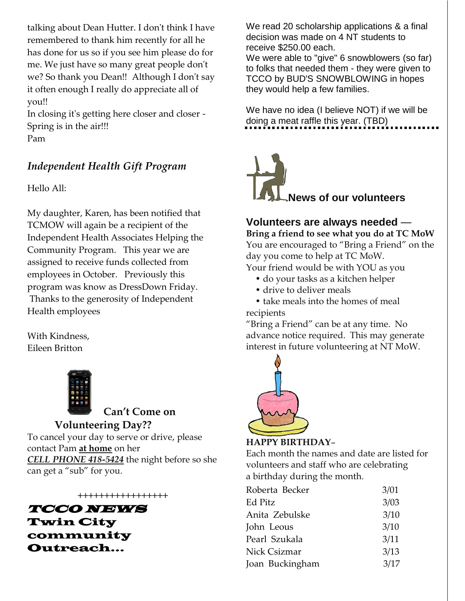talking about Dean Hutter. I don't think I have remembered to thank him recently for all he has done for us so if you see him please do for me. We just have so many great people don't we? So thank you Dean!! Although I don't say it often enough I really do appreciate all of you!!

In closing it's getting here closer and closer - Spring is in the air!!! Pam

# *Independent Health Gift Program*

Hello All:

My daughter, Karen, has been notified that TCMOW will again be a recipient of the Independent Health Associates Helping the Community Program. This year we are assigned to receive funds collected from employees in October. Previously this program was know as DressDown Friday. Thanks to the generosity of Independent Health employees

With Kindness, Eileen Britton



**Can't Come on Volunteering Day??**

To cancel your day to serve or drive, please contact Pam **at home** on her *CELL PHONE 418-5424* the night before so she can get a "sub" for you.

+++++++++++++++++



We read 20 scholarship applications & a final decision was made on 4 NT students to receive \$250.00 each.

We were able to "give" 6 snowblowers (so far) to folks that needed them - they were given to TCCO by BUD'S SNOWBLOWING in hopes they would help a few families.

We have no idea (I believe NOT) if we will be doing a meat raffle this year. (TBD)



# **Volunteers are always needed** —

**Bring a friend to see what you do at TC MoW**  You are encouraged to "Bring a Friend" on the day you come to help at TC MoW.

Your friend would be with YOU as you

- do your tasks as a kitchen helper
- drive to deliver meals
- take meals into the homes of meal recipients

"Bring a Friend" can be at any time. No advance notice required. This may generate interest in future volunteering at NT MoW.



#### **HAPPY BIRTHDAY**–

Each month the names and date are listed for volunteers and staff who are celebrating a birthday during the month.

| Roberta Becker  | 3/01 |
|-----------------|------|
| Ed Pitz         | 3/03 |
| Anita Zebulske  | 3/10 |
| John Leous      | 3/10 |
| Pearl Szukala   | 3/11 |
| Nick Csizmar    | 3/13 |
| Joan Buckingham | 3/17 |
|                 |      |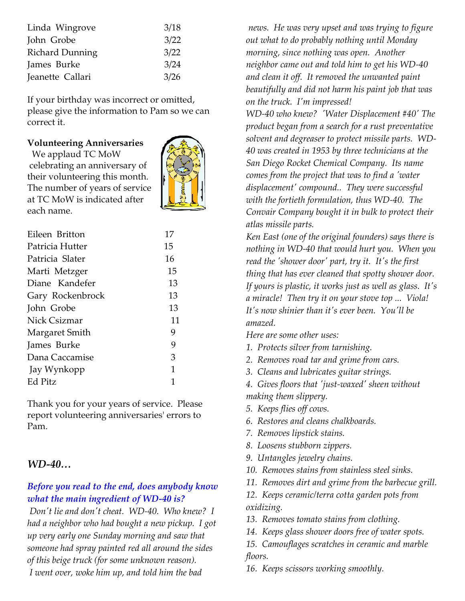| 3/18 |  |
|------|--|
| 3/22 |  |
| 3/22 |  |
| 3/24 |  |
| 3/26 |  |
|      |  |

If your birthday was incorrect or omitted, please give the information to Pam so we can correct it.

#### **Volunteering Anniversaries**

 We applaud TC MoW celebrating an anniversary of their volunteering this month. The number of years of service at TC MoW is indicated after each name.



| Eileen Britton   | 17 |
|------------------|----|
| Patricia Hutter  | 15 |
| Patricia Slater  | 16 |
| Marti Metzger    | 15 |
| Diane Kandefer   | 13 |
| Gary Rockenbrock | 13 |
| John Grobe       | 13 |
| Nick Csizmar     | 11 |
| Margaret Smith   | 9  |
| James Burke      | 9  |
| Dana Caccamise   | 3  |
| Jay Wynkopp      | 1  |
| Ed Pitz          | 1  |

Thank you for your years of service. Please report volunteering anniversaries' errors to Pam.

#### *WD-40…*

#### *Before you read to the end, does anybody know what the main ingredient of WD-40 is?*

*Don't lie and don't cheat. WD-40. Who knew? I had a neighbor who had bought a new pickup. I got up very early one Sunday morning and saw that someone had spray painted red all around the sides of this beige truck (for some unknown reason). I went over, woke him up, and told him the bad*

*news. He was very upset and was trying to figure out what to do probably nothing until Monday morning, since nothing was open. Another neighbor came out and told him to get his WD-40 and clean it off. It removed the unwanted paint beautifully and did not harm his paint job that was on the truck. I'm impressed!*

*WD-40 who knew? 'Water Displacement #40' The product began from a search for a rust preventative solvent and degreaser to protect missile parts. WD-40 was created in 1953 by three technicians at the San Diego Rocket Chemical Company. Its name comes from the project that was to find a 'water displacement' compound.. They were successful with the fortieth formulation, thus WD-40. The Convair Company bought it in bulk to protect their atlas missile parts.*

*Ken East (one of the original founders) says there is nothing in WD-40 that would hurt you. When you read the 'shower door' part, try it. It's the first thing that has ever cleaned that spotty shower door. If yours is plastic, it works just as well as glass. It's a miracle! Then try it on your stove top ... Viola! It's now shinier than it's ever been. You'll be amazed.*

*Here are some other uses:* 

- *1. Protects silver from tarnishing.*
- *2. Removes road tar and grime from cars.*
- *3. Cleans and lubricates guitar strings.*
- *4. Gives floors that 'just-waxed' sheen without making them slippery.*
- *5. Keeps flies off cows.*
- *6. Restores and cleans chalkboards.*
- *7. Removes lipstick stains.*
- *8. Loosens stubborn zippers.*
- *9. Untangles jewelry chains.*
- *10. Removes stains from stainless steel sinks.*
- *11. Removes dirt and grime from the barbecue grill.*

*12. Keeps ceramic/terra cotta garden pots from oxidizing.*

- *13. Removes tomato stains from clothing.*
- *14. Keeps glass shower doors free of water spots.*

*15. Camouflages scratches in ceramic and marble floors.*

*16. Keeps scissors working smoothly.*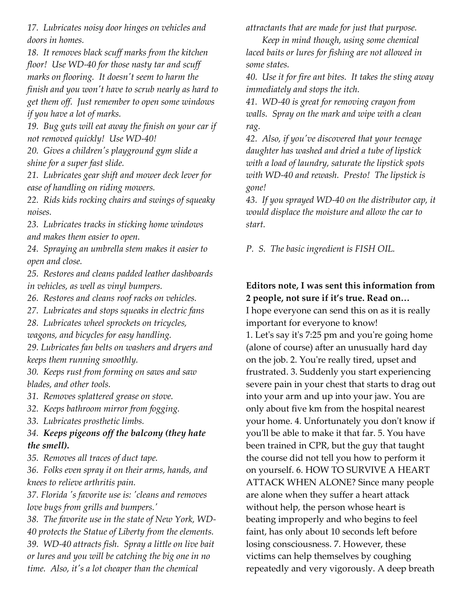*17. Lubricates noisy door hinges on vehicles and doors in homes.*

*18. It removes black scuff marks from the kitchen floor! Use WD-40 for those nasty tar and scuff marks on flooring. It doesn't seem to harm the finish and you won't have to scrub nearly as hard to get them off. Just remember to open some windows if you have a lot of marks.*

*19. Bug guts will eat away the finish on your car if not removed quickly! Use WD-40!*

*20. Gives a children's playground gym slide a shine for a super fast slide.*

*21. Lubricates gear shift and mower deck lever for ease of handling on riding mowers.*

*22. Rids kids rocking chairs and swings of squeaky noises.*

*23. Lubricates tracks in sticking home windows and makes them easier to open.*

*24. Spraying an umbrella stem makes it easier to open and close.*

*25. Restores and cleans padded leather dashboards in vehicles, as well as vinyl bumpers.*

*26. Restores and cleans roof racks on vehicles.*

*27. Lubricates and stops squeaks in electric fans*

*28. Lubricates wheel sprockets on tricycles,* 

*wagons, and bicycles for easy handling. 29. Lubricates fan belts on washers and dryers and* 

*keeps them running smoothly.*

*30. Keeps rust from forming on saws and saw blades, and other tools.*

*31. Removes splattered grease on stove.*

*32. Keeps bathroom mirror from fogging.*

*33. Lubricates prosthetic limbs.*

*34. Keeps pigeons off the balcony (they hate the smell).*

*35. Removes all traces of duct tape.*

*36. Folks even spray it on their arms, hands, and knees to relieve arthritis pain.*

*37. Florida 's favorite use is: 'cleans and removes love bugs from grills and bumpers.'*

*38. The favorite use in the state of New York, WD-40 protects the Statue of Liberty from the elements. 39. WD-40 attracts fish. Spray a little on live bait or lures and you will be catching the big one in no time. Also, it's a lot cheaper than the chemical* 

*attractants that are made for just that purpose.*

 *Keep in mind though, using some chemical laced baits or lures for fishing are not allowed in some states.*

*40. Use it for fire ant bites. It takes the sting away immediately and stops the itch.*

*41. WD-40 is great for removing crayon from walls. Spray on the mark and wipe with a clean rag.*

*42. Also, if you've discovered that your teenage daughter has washed and dried a tube of lipstick with a load of laundry, saturate the lipstick spots with WD-40 and rewash. Presto! The lipstick is gone!*

*43. If you sprayed WD-40 on the distributor cap, it would displace the moisture and allow the car to start.*

*P. S. The basic ingredient is FISH OIL.*

#### **Editors note, I was sent this information from 2 people, not sure if it's true. Read on…**

I hope everyone can send this on as it is really important for everyone to know!

1. Let's say it's 7:25 pm and you're going home (alone of course) after an unusually hard day on the job. 2. You're really tired, upset and frustrated. 3. Suddenly you start experiencing severe pain in your chest that starts to drag out into your arm and up into your jaw. You are only about five km from the hospital nearest your home. 4. Unfortunately you don't know if you'll be able to make it that far. 5. You have been trained in CPR, but the guy that taught the course did not tell you how to perform it on yourself. 6. HOW TO SURVIVE A HEART ATTACK WHEN ALONE? Since many people are alone when they suffer a heart attack without help, the person whose heart is beating improperly and who begins to feel faint, has only about 10 seconds left before losing consciousness. 7. However, these victims can help themselves by coughing repeatedly and very vigorously. A deep breath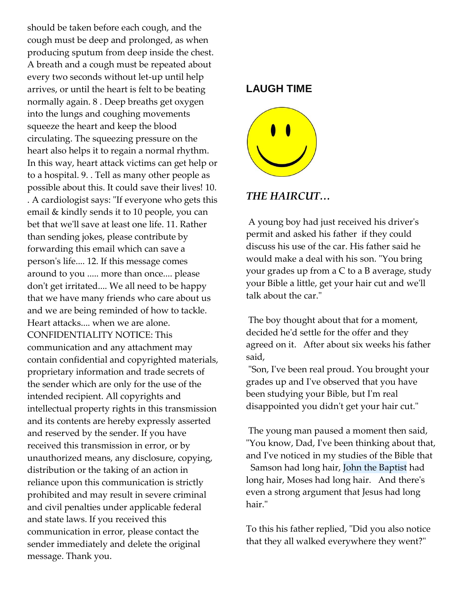should be taken before each cough, and the cough must be deep and prolonged, as when producing sputum from deep inside the chest. A breath and a cough must be repeated about every two seconds without let-up until help arrives, or until the heart is felt to be beating normally again. 8 . Deep breaths get oxygen into the lungs and coughing movements squeeze the heart and keep the blood circulating. The squeezing pressure on the heart also helps it to regain a normal rhythm. In this way, heart attack victims can get help or to a hospital. 9. . Tell as many other people as possible about this. It could save their lives! 10. . A cardiologist says: "If everyone who gets this email & kindly sends it to 10 people, you can bet that we'll save at least one life. 11. Rather than sending jokes, please contribute by forwarding this email which can save a person's life.... 12. If this message comes around to you ..... more than once.... please don't get irritated.... We all need to be happy that we have many friends who care about us and we are being reminded of how to tackle. Heart attacks.... when we are alone. CONFIDENTIALITY NOTICE: This communication and any attachment may contain confidential and copyrighted materials, proprietary information and trade secrets of the sender which are only for the use of the intended recipient. All copyrights and intellectual property rights in this transmission and its contents are hereby expressly asserted and reserved by the sender. If you have received this transmission in error, or by unauthorized means, any disclosure, copying, distribution or the taking of an action in reliance upon this communication is strictly prohibited and may result in severe criminal and civil penalties under applicable federal and state laws. If you received this communication in error, please contact the sender immediately and delete the original message. Thank you.

#### **LAUGH TIME**



#### *THE HAIRCUT…*

A young boy had just received his driver's permit and asked his father if they could discuss his use of the car. His father said he would make a deal with his son. "You bring your grades up from a C to a B average, study your Bible a little, get your hair cut and we'll talk about the car."

The boy thought about that for a moment, decided he'd settle for the offer and they agreed on it. After about six weeks his father said,

"Son, I've been real proud. You brought your grades up and I've observed that you have been studying your Bible, but I'm real disappointed you didn't get your hair cut."

The young man paused a moment then said, "You know, Dad, I've been thinking about that, and I've noticed in my studies of the Bible that Samson had long hair, John the Baptist had long hair, Moses had long hair. And there's even a strong argument that Jesus had long hair."

To this his father replied, "Did you also notice that they all walked everywhere they went?"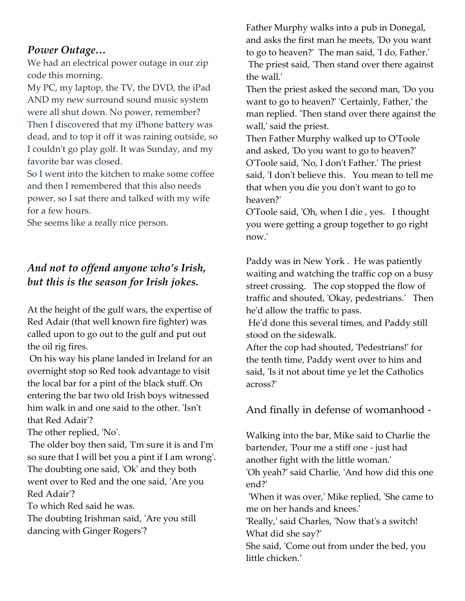#### *Power Outage…*

We had an electrical power outage in our zip code this morning.

My PC, my laptop, the TV, the DVD, the iPad AND my new surround sound music system were all shut down. No power, remember? Then I discovered that my iPhone battery was dead, and to top it off it was raining outside, so I couldn't go play golf. It was Sunday, and my favorite bar was closed.

So I went into the kitchen to make some coffee and then I remembered that this also needs power, so I sat there and talked with my wife for a few hours.

She seems like a really nice person.

# *And not to offend anyone who's Irish, but this is the season for Irish jokes.*

At the height of the gulf wars, the expertise of Red Adair (that well known fire fighter) was called upon to go out to the gulf and put out the oil rig fires.

On his way his plane landed in Ireland for an overnight stop so Red took advantage to visit the local bar for a pint of the black stuff. On entering the bar two old Irish boys witnessed him walk in and one said to the other. 'Isn't that Red Adair'?

The other replied, 'No'.

The older boy then said, 'I'm sure it is and I'm so sure that I will bet you a pint if I am wrong'. The doubting one said, 'Ok' and they both went over to Red and the one said, 'Are you Red Adair'?

To which Red said he was.

The doubting Irishman said, 'Are you still dancing with Ginger Rogers'?

Father Murphy walks into a pub in Donegal, and asks the first man he meets, 'Do you want to go to heaven?' The man said, 'I do, Father.' The priest said, 'Then stand over there against the wall.'

Then the priest asked the second man, 'Do you want to go to heaven?' 'Certainly, Father,' the man replied. 'Then stand over there against the wall,' said the priest.

Then Father Murphy walked up to O'Toole and asked, 'Do you want to go to heaven?' O'Toole said, 'No, I don't Father.' The priest said, 'I don't believe this. You mean to tell me that when you die you don't want to go to heaven?'

O'Toole said, 'Oh, when I die , yes. I thought you were getting a group together to go right now.'

Paddy was in New York . He was patiently waiting and watching the traffic cop on a busy street crossing. The cop stopped the flow of traffic and shouted, 'Okay, pedestrians.' Then he'd allow the traffic to pass.

He'd done this several times, and Paddy still stood on the sidewalk.

After the cop had shouted, 'Pedestrians!' for the tenth time, Paddy went over to him and said, 'Is it not about time ye let the Catholics across?'

And finally in defense of womanhood -

Walking into the bar, Mike said to Charlie the bartender, 'Pour me a stiff one - just had another fight with the little woman.'

'Oh yeah?' said Charlie, 'And how did this one end?'

'When it was over,' Mike replied, 'She came to me on her hands and knees.'

'Really,' said Charles, 'Now that's a switch! What did she say?'

She said, 'Come out from under the bed, you little chicken.'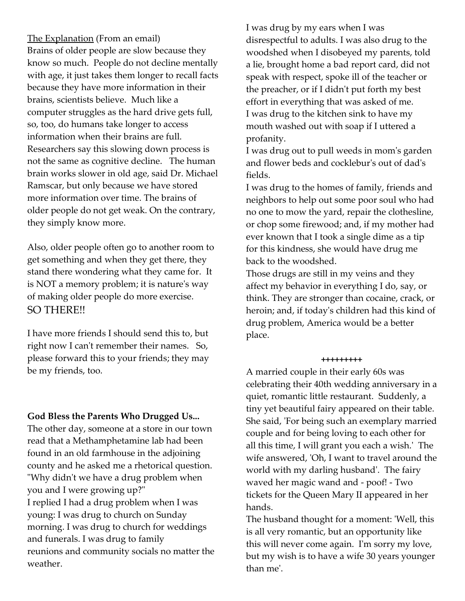The Explanation (From an email) Brains of older people are slow because they know so much. People do not decline mentally with age, it just takes them longer to recall facts because they have more information in their brains, scientists believe. Much like a computer struggles as the hard drive gets full, so, too, do humans take longer to access information when their brains are full. Researchers say this slowing down process is not the same as cognitive decline. The human brain works slower in old age, said Dr. Michael Ramscar, but only because we have stored more information over time. The brains of older people do not get weak. On the contrary, they simply know more.

Also, older people often go to another room to get something and when they get there, they stand there wondering what they came for. It is NOT a memory problem; it is nature's way of making older people do more exercise. SO THERE!!

I have more friends I should send this to, but right now I can't remember their names. So, please forward this to your friends; they may be my friends, too.

#### **God Bless the Parents Who Drugged Us...**

The other day, someone at a store in our town read that a Methamphetamine lab had been found in an old farmhouse in the adjoining county and he asked me a rhetorical question. "Why didn't we have a drug problem when you and I were growing up?" I replied I had a drug problem when I was young: I was drug to church on Sunday morning. I was drug to church for weddings and funerals. I was drug to family reunions and community socials no matter the weather.

I was drug by my ears when I was disrespectful to adults. I was also drug to the woodshed when I disobeyed my parents, told a lie, brought home a bad report card, did not speak with respect, spoke ill of the teacher or the preacher, or if I didn't put forth my best effort in everything that was asked of me. I was drug to the kitchen sink to have my mouth washed out with soap if I uttered a profanity.

I was drug out to pull weeds in mom's garden and flower beds and cocklebur's out of dad's fields.

I was drug to the homes of family, friends and neighbors to help out some poor soul who had no one to mow the yard, repair the clothesline, or chop some firewood; and, if my mother had ever known that I took a single dime as a tip for this kindness, she would have drug me back to the woodshed.

Those drugs are still in my veins and they affect my behavior in everything I do, say, or think. They are stronger than cocaine, crack, or heroin; and, if today's children had this kind of drug problem, America would be a better place.

#### **+++++++++**

A married couple in their early 60s was celebrating their 40th wedding anniversary in a quiet, romantic little restaurant. Suddenly, a tiny yet beautiful fairy appeared on their table. She said, 'For being such an exemplary married couple and for being loving to each other for all this time, I will grant you each a wish.' The wife answered, 'Oh, I want to travel around the world with my darling husband'. The fairy waved her magic wand and - poof! - Two tickets for the Queen Mary II appeared in her hands.

The husband thought for a moment: 'Well, this is all very romantic, but an opportunity like this will never come again. I'm sorry my love, but my wish is to have a wife 30 years younger than me'.